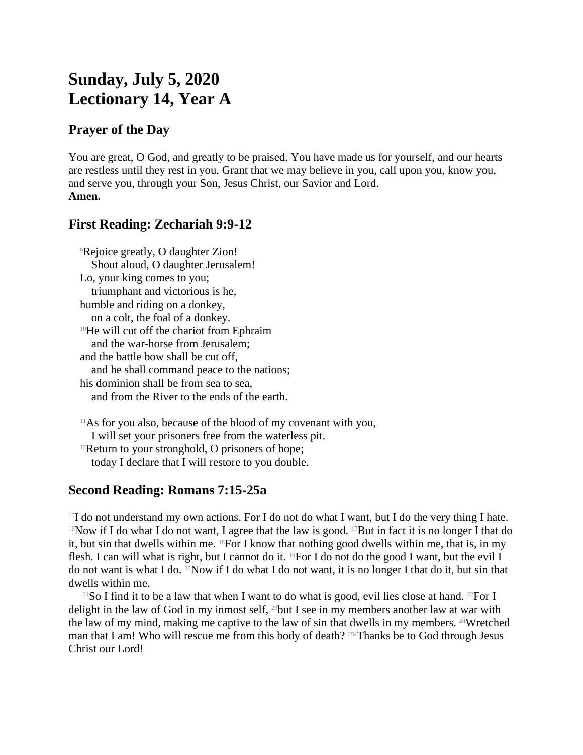# **Sunday, July 5, 2020 Lectionary 14, Year A**

### **Prayer of the Day**

You are great, O God, and greatly to be praised. You have made us for yourself, and our hearts are restless until they rest in you. Grant that we may believe in you, call upon you, know you, and serve you, through your Son, Jesus Christ, our Savior and Lord. **Amen.**

## **First Reading: Zechariah 9:9-12**

<sup>9</sup>Rejoice greatly, O daughter Zion! Shout aloud, O daughter Jerusalem! Lo, your king comes to you; triumphant and victorious is he, humble and riding on a donkey, on a colt, the foal of a donkey. <sup>10</sup>He will cut off the chariot from Ephraim and the war-horse from Jerusalem; and the battle bow shall be cut off, and he shall command peace to the nations; his dominion shall be from sea to sea, and from the River to the ends of the earth.

 $11$ As for you also, because of the blood of my covenant with you, I will set your prisoners free from the waterless pit.  $12$ Return to your stronghold, O prisoners of hope; today I declare that I will restore to you double.

#### **Second Reading: Romans 7:15-25a**

 $15I$  do not understand my own actions. For I do not do what I want, but I do the very thing I hate. <sup>16</sup>Now if I do what I do not want, I agree that the law is good. <sup>17</sup>But in fact it is no longer I that do it, but sin that dwells within me. 18For I know that nothing good dwells within me, that is, in my flesh. I can will what is right, but I cannot do it. <sup>19</sup>For I do not do the good I want, but the evil I do not want is what I do. 20Now if I do what I do not want, it is no longer I that do it, but sin that dwells within me.

<sup>21</sup>So I find it to be a law that when I want to do what is good, evil lies close at hand. <sup>22</sup>For I delight in the law of God in my inmost self, 23but I see in my members another law at war with the law of my mind, making me captive to the law of sin that dwells in my members. 24Wretched man that I am! Who will rescue me from this body of death? 25aThanks be to God through Jesus Christ our Lord!